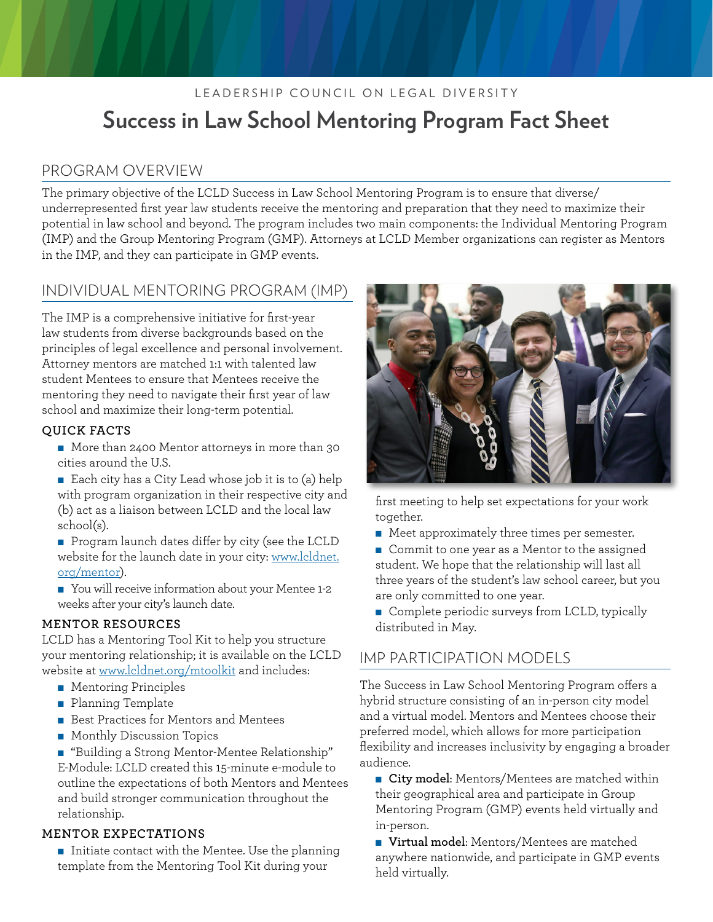# LEADERSHIP COUNCIL ON LEGAL DIVERSITY **Success in Law School Mentoring Program Fact Sheet**

### PROGRAM OVERVIEW

The primary objective of the LCLD Success in Law School Mentoring Program is to ensure that diverse/ underrepresented first year law students receive the mentoring and preparation that they need to maximize their potential in law school and beyond. The program includes two main components: the Individual Mentoring Program (IMP) and the Group Mentoring Program (GMP). Attorneys at LCLD Member organizations can register as Mentors in the IMP, and they can participate in GMP events.

## INDIVIDUAL MENTORING PROGRAM (IMP)

The IMP is a comprehensive initiative for first-year law students from diverse backgrounds based on the principles of legal excellence and personal involvement. Attorney mentors are matched 1:1 with talented law student Mentees to ensure that Mentees receive the mentoring they need to navigate their first year of law school and maximize their long-term potential.

#### **QUICK FACTS**

- More than 2400 Mentor attorneys in more than 30 cities around the U.S.
- Each city has a City Lead whose job it is to (a) help with program organization in their respective city and (b) act as a liaison between LCLD and the local law school(s).
- $\blacksquare$  Program launch dates differ by city (see the LCLD website for the launch date in your city: [www.lcldnet.](http://www.lcldnet.org/programs_lcld_law_school_mentoring_program.html) [org/mentor](http://www.lcldnet.org/programs_lcld_law_school_mentoring_program.html)).
- You will receive information about your Mentee 1-2 weeks after your city's launch date.

#### **MENTOR RESOURCES**

LCLD has a Mentoring Tool Kit to help you structure your mentoring relationship; it is available on the LCLD website at [www.lcldnet.org/mtoolkit](http://www.lcldnet.org/mtoolkit) and includes:

- **n** Mentoring Principles
- **n** Planning Template
- Best Practices for Mentors and Mentees
- **n** Monthly Discussion Topics

■ "Building a Strong Mentor-Mentee Relationship" E-Module: LCLD created this 15-minute e-module to outline the expectations of both Mentors and Mentees and build stronger communication throughout the relationship.

#### **MENTOR EXPECTATIONS**

 $\blacksquare$  Initiate contact with the Mentee. Use the planning template from the Mentoring Tool Kit during your



first meeting to help set expectations for your work together.

- $\blacksquare$  Meet approximately three times per semester.
- Commit to one year as a Mentor to the assigned student. We hope that the relationship will last all three years of the student's law school career, but you are only committed to one year.
- Complete periodic surveys from LCLD, typically distributed in May.

### IMP PARTICIPATION MODELS

The Success in Law School Mentoring Program offers a hybrid structure consisting of an in-person city model and a virtual model. Mentors and Mentees choose their preferred model, which allows for more participation flexibility and increases inclusivity by engaging a broader audience.

**n** City model: Mentors/Mentees are matched within their geographical area and participate in Group Mentoring Program (GMP) events held virtually and in-person.

■ Virtual model: Mentors/Mentees are matched anywhere nationwide, and participate in GMP events held virtually.